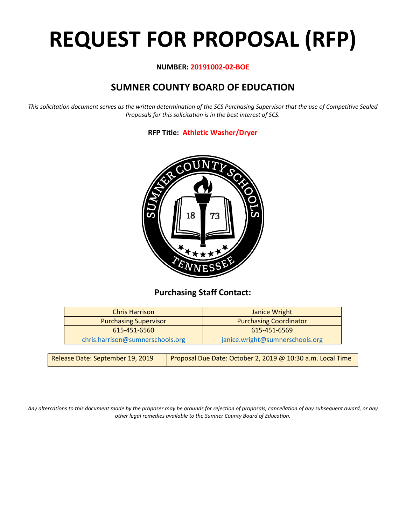# **REQUEST FOR PROPOSAL (RFP)**

## **NUMBER: 20191002-02-BOE**

# **SUMNER COUNTY BOARD OF EDUCATION**

*This solicitation document serves as the written determination of the SCS Purchasing Supervisor that the use of Competitive Sealed Proposals for this solicitation is in the best interest of SCS.*

# **RFP Title: Athletic Washer/Dryer**



# **Purchasing Staff Contact:**

| <b>Chris Harrison</b>            | Janice Wright                   |  |  |
|----------------------------------|---------------------------------|--|--|
| <b>Purchasing Supervisor</b>     | <b>Purchasing Coordinator</b>   |  |  |
| 615-451-6560                     | 615-451-6569                    |  |  |
| chris.harrison@sumnerschools.org | janice.wright@sumnerschools.org |  |  |

*Any altercations to this document made by the proposer may be grounds for rejection of proposals, cancellation of any subsequent award, or any other legal remedies available to the Sumner County Board of Education.*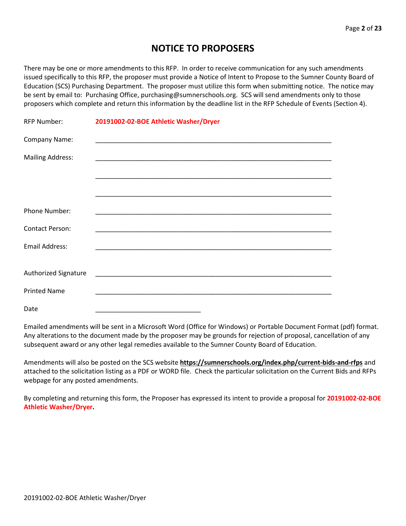# **NOTICE TO PROPOSERS**

There may be one or more amendments to this RFP. In order to receive communication for any such amendments issued specifically to this RFP, the proposer must provide a Notice of Intent to Propose to the Sumner County Board of Education (SCS) Purchasing Department. The proposer must utilize this form when submitting notice. The notice may be sent by email to: Purchasing Office, purchasing@sumnerschools.org. SCS will send amendments only to those proposers which complete and return this information by the deadline list in the RFP Schedule of Events (Section 4).

| <b>RFP Number:</b>      | 20191002-02-BOE Athletic Washer/Dryer |
|-------------------------|---------------------------------------|
| Company Name:           |                                       |
| <b>Mailing Address:</b> |                                       |
|                         |                                       |
|                         |                                       |
| Phone Number:           |                                       |
| <b>Contact Person:</b>  |                                       |
| Email Address:          |                                       |
|                         |                                       |
| Authorized Signature    |                                       |
| <b>Printed Name</b>     |                                       |
| Date                    |                                       |

Emailed amendments will be sent in a Microsoft Word (Office for Windows) or Portable Document Format (pdf) format. Any alterations to the document made by the proposer may be grounds for rejection of proposal, cancellation of any subsequent award or any other legal remedies available to the Sumner County Board of Education.

Amendments will also be posted on the SCS website **https://sumnerschools.org/index.php/current-bids-and-rfps** and attached to the solicitation listing as a PDF or WORD file. Check the particular solicitation on the Current Bids and RFPs webpage for any posted amendments.

By completing and returning this form, the Proposer has expressed its intent to provide a proposal for **20191002-02-BOE Athletic Washer/Dryer.**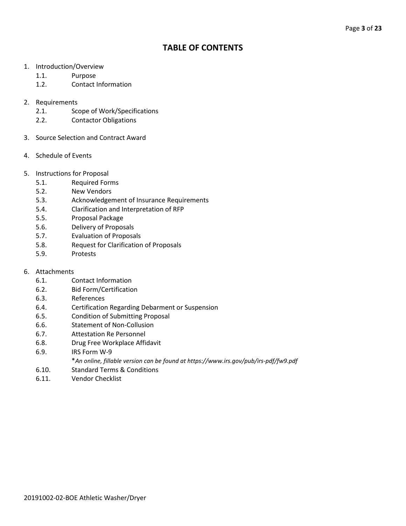# **TABLE OF CONTENTS**

- 1. Introduction/Overview
	- 1.1. Purpose
	- 1.2. Contact Information
- 2. Requirements
	- 2.1. Scope of Work/Specifications
	- 2.2. Contactor Obligations
- 3. Source Selection and Contract Award
- 4. Schedule of Events
- 5. Instructions for Proposal
	- 5.1. Required Forms
	- 5.2. New Vendors
	- 5.3. Acknowledgement of Insurance Requirements
	- 5.4. Clarification and Interpretation of RFP
	- 5.5. Proposal Package
	- 5.6. Delivery of Proposals
	- 5.7. Evaluation of Proposals
	- 5.8. Request for Clarification of Proposals
	- 5.9. Protests
- 6. Attachments
	- 6.1. Contact Information
	- 6.2. Bid Form/Certification
	- 6.3. References
	- 6.4. Certification Regarding Debarment or Suspension
	- 6.5. Condition of Submitting Proposal
	- 6.6. Statement of Non-Collusion
	- 6.7. Attestation Re Personnel
	- 6.8. Drug Free Workplace Affidavit
	- 6.9. IRS Form W-9
		- \**An online, fillable version can be found at https://www.irs.gov/pub/irs-pdf/fw9.pdf*
	- 6.10. Standard Terms & Conditions
	- 6.11. Vendor Checklist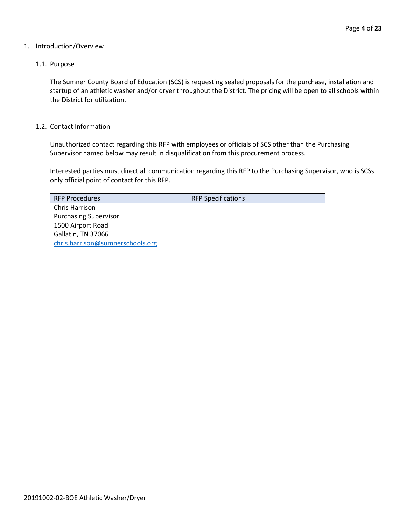#### 1. Introduction/Overview

#### 1.1. Purpose

The Sumner County Board of Education (SCS) is requesting sealed proposals for the purchase, installation and startup of an athletic washer and/or dryer throughout the District. The pricing will be open to all schools within the District for utilization.

#### 1.2. Contact Information

Unauthorized contact regarding this RFP with employees or officials of SCS other than the Purchasing Supervisor named below may result in disqualification from this procurement process.

Interested parties must direct all communication regarding this RFP to the Purchasing Supervisor, who is SCSs only official point of contact for this RFP.

| <b>RFP Procedures</b>            | <b>RFP Specifications</b> |
|----------------------------------|---------------------------|
| Chris Harrison                   |                           |
| <b>Purchasing Supervisor</b>     |                           |
| 1500 Airport Road                |                           |
| Gallatin, TN 37066               |                           |
| chris.harrison@sumnerschools.org |                           |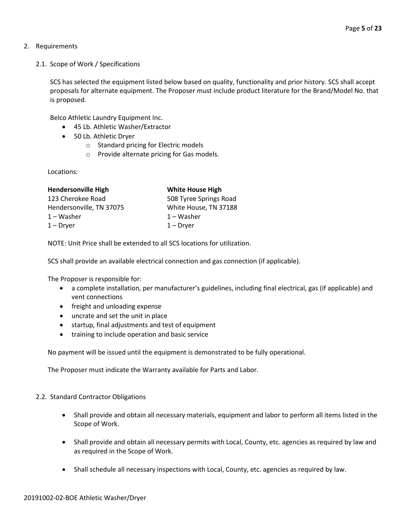- 2. Requirements
	- 2.1. Scope of Work / Specifications

SCS has selected the equipment listed below based on quality, functionality and prior history. SCS shall accept proposals for alternate equipment. The Proposer must include product literature for the Brand/Model No. that is proposed.

Belco Athletic Laundry Equipment Inc.

- 45 Lb. Athletic Washer/Extractor
- 50 Lb. Athletic Dryer
	- o Standard pricing for Electric models
	- o Provide alternate pricing for Gas models.

Locations:

| <b>Hendersonville High</b> | <b>White House High</b> |
|----------------------------|-------------------------|
| 123 Cherokee Road          | 508 Tyree Springs Road  |
| Hendersonville, TN 37075   | White House, TN 37188   |
| $1 - W$ asher              | $1 - W$ asher           |
| $1 - Dryer$                | $1 - Dryer$             |

NOTE: Unit Price shall be extended to all SCS locations for utilization.

SCS shall provide an available electrical connection and gas connection (if applicable).

The Proposer is responsible for:

- a complete installation, per manufacturer's guidelines, including final electrical, gas (if applicable) and vent connections
- freight and unloading expense
- uncrate and set the unit in place
- startup, final adjustments and test of equipment
- training to include operation and basic service

No payment will be issued until the equipment is demonstrated to be fully operational.

The Proposer must indicate the Warranty available for Parts and Labor.

#### 2.2. Standard Contractor Obligations

- Shall provide and obtain all necessary materials, equipment and labor to perform all items listed in the Scope of Work.
- Shall provide and obtain all necessary permits with Local, County, etc. agencies as required by law and as required in the Scope of Work.
- Shall schedule all necessary inspections with Local, County, etc. agencies as required by law.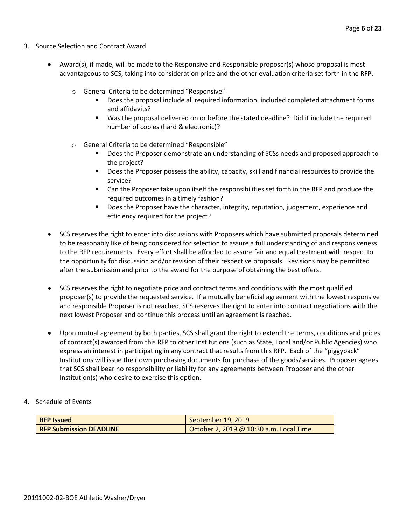- 3. Source Selection and Contract Award
	- Award(s), if made, will be made to the Responsive and Responsible proposer(s) whose proposal is most advantageous to SCS, taking into consideration price and the other evaluation criteria set forth in the RFP.
		- o General Criteria to be determined "Responsive"
			- Does the proposal include all required information, included completed attachment forms and affidavits?
			- Was the proposal delivered on or before the stated deadline? Did it include the required number of copies (hard & electronic)?
		- o General Criteria to be determined "Responsible"
			- Does the Proposer demonstrate an understanding of SCSs needs and proposed approach to the project?
			- **Does the Proposer possess the ability, capacity, skill and financial resources to provide the** service?
			- Can the Proposer take upon itself the responsibilities set forth in the RFP and produce the required outcomes in a timely fashion?
			- **Does the Proposer have the character, integrity, reputation, judgement, experience and** efficiency required for the project?
	- SCS reserves the right to enter into discussions with Proposers which have submitted proposals determined to be reasonably like of being considered for selection to assure a full understanding of and responsiveness to the RFP requirements. Every effort shall be afforded to assure fair and equal treatment with respect to the opportunity for discussion and/or revision of their respective proposals. Revisions may be permitted after the submission and prior to the award for the purpose of obtaining the best offers.
	- SCS reserves the right to negotiate price and contract terms and conditions with the most qualified proposer(s) to provide the requested service. If a mutually beneficial agreement with the lowest responsive and responsible Proposer is not reached, SCS reserves the right to enter into contract negotiations with the next lowest Proposer and continue this process until an agreement is reached.
	- Upon mutual agreement by both parties, SCS shall grant the right to extend the terms, conditions and prices of contract(s) awarded from this RFP to other Institutions (such as State, Local and/or Public Agencies) who express an interest in participating in any contract that results from this RFP. Each of the "piggyback" Institutions will issue their own purchasing documents for purchase of the goods/services. Proposer agrees that SCS shall bear no responsibility or liability for any agreements between Proposer and the other Institution(s) who desire to exercise this option.
- 4. Schedule of Events

| <b>RFP Issued</b>              | September 19, 2019                      |  |
|--------------------------------|-----------------------------------------|--|
| <b>RFP Submission DEADLINE</b> | October 2, 2019 @ 10:30 a.m. Local Time |  |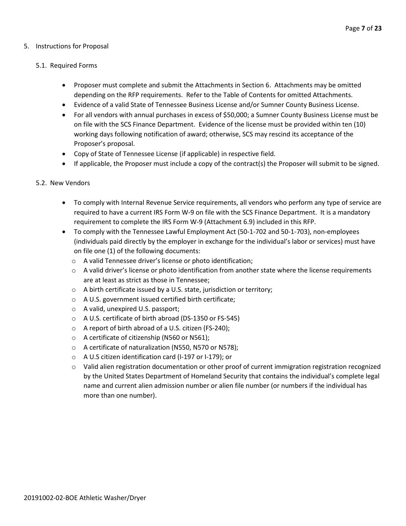#### 5. Instructions for Proposal

#### 5.1. Required Forms

- Proposer must complete and submit the Attachments in Section 6. Attachments may be omitted depending on the RFP requirements. Refer to the Table of Contents for omitted Attachments.
- Evidence of a valid State of Tennessee Business License and/or Sumner County Business License.
- For all vendors with annual purchases in excess of \$50,000; a Sumner County Business License must be on file with the SCS Finance Department. Evidence of the license must be provided within ten (10) working days following notification of award; otherwise, SCS may rescind its acceptance of the Proposer's proposal.
- Copy of State of Tennessee License (if applicable) in respective field.
- If applicable, the Proposer must include a copy of the contract(s) the Proposer will submit to be signed.

#### 5.2. New Vendors

- To comply with Internal Revenue Service requirements, all vendors who perform any type of service are required to have a current IRS Form W-9 on file with the SCS Finance Department. It is a mandatory requirement to complete the IRS Form W-9 (Attachment 6.9) included in this RFP.
- To comply with the Tennessee Lawful Employment Act (50-1-702 and 50-1-703), non-employees (individuals paid directly by the employer in exchange for the individual's labor or services) must have on file one (1) of the following documents:
	- o A valid Tennessee driver's license or photo identification;
	- $\circ$  A valid driver's license or photo identification from another state where the license requirements are at least as strict as those in Tennessee;
	- o A birth certificate issued by a U.S. state, jurisdiction or territory;
	- o A U.S. government issued certified birth certificate;
	- o A valid, unexpired U.S. passport;
	- o A U.S. certificate of birth abroad (DS-1350 or FS-545)
	- o A report of birth abroad of a U.S. citizen (FS-240);
	- o A certificate of citizenship (N560 or N561);
	- o A certificate of naturalization (N550, N570 or N578);
	- o A U.S citizen identification card (I-197 or I-179); or
	- $\circ$  Valid alien registration documentation or other proof of current immigration registration recognized by the United States Department of Homeland Security that contains the individual's complete legal name and current alien admission number or alien file number (or numbers if the individual has more than one number).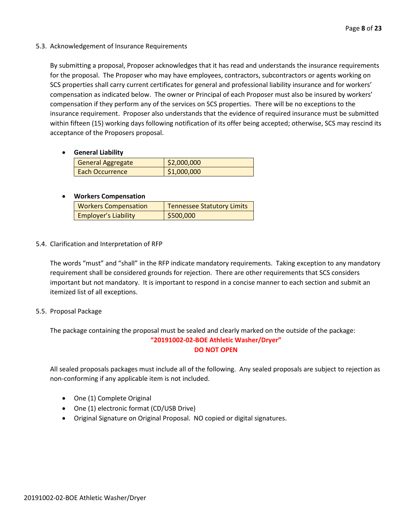#### 5.3. Acknowledgement of Insurance Requirements

By submitting a proposal, Proposer acknowledges that it has read and understands the insurance requirements for the proposal. The Proposer who may have employees, contractors, subcontractors or agents working on SCS properties shall carry current certificates for general and professional liability insurance and for workers' compensation as indicated below. The owner or Principal of each Proposer must also be insured by workers' compensation if they perform any of the services on SCS properties. There will be no exceptions to the insurance requirement. Proposer also understands that the evidence of required insurance must be submitted within fifteen (15) working days following notification of its offer being accepted; otherwise, SCS may rescind its acceptance of the Proposers proposal.

#### • **General Liability**

| <b>General Aggregate</b> | $\frac{1}{2}$ ,000,000 |
|--------------------------|------------------------|
| Each Occurrence          | \$1,000,000            |

## • **Workers Compensation**

| <b>Workers Compensation</b> | <b>Tennessee Statutory Limits</b> |
|-----------------------------|-----------------------------------|
| <b>Employer's Liability</b> | \$500,000                         |

## 5.4. Clarification and Interpretation of RFP

The words "must" and "shall" in the RFP indicate mandatory requirements. Taking exception to any mandatory requirement shall be considered grounds for rejection. There are other requirements that SCS considers important but not mandatory. It is important to respond in a concise manner to each section and submit an itemized list of all exceptions.

#### 5.5. Proposal Package

The package containing the proposal must be sealed and clearly marked on the outside of the package: **"20191002-02-BOE Athletic Washer/Dryer" DO NOT OPEN**

All sealed proposals packages must include all of the following. Any sealed proposals are subject to rejection as non-conforming if any applicable item is not included.

- One (1) Complete Original
- One (1) electronic format (CD/USB Drive)
- Original Signature on Original Proposal. NO copied or digital signatures.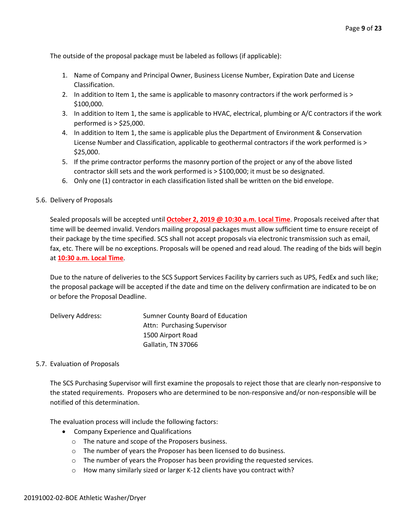The outside of the proposal package must be labeled as follows (if applicable):

- 1. Name of Company and Principal Owner, Business License Number, Expiration Date and License Classification.
- 2. In addition to Item 1, the same is applicable to masonry contractors if the work performed is > \$100,000.
- 3. In addition to Item 1, the same is applicable to HVAC, electrical, plumbing or A/C contractors if the work performed is > \$25,000.
- 4. In addition to Item 1, the same is applicable plus the Department of Environment & Conservation License Number and Classification, applicable to geothermal contractors if the work performed is > \$25,000.
- 5. If the prime contractor performs the masonry portion of the project or any of the above listed contractor skill sets and the work performed is > \$100,000; it must be so designated.
- 6. Only one (1) contractor in each classification listed shall be written on the bid envelope.
- 5.6. Delivery of Proposals

Sealed proposals will be accepted until **October 2, 2019 @ 10:30 a.m. Local Time**. Proposals received after that time will be deemed invalid. Vendors mailing proposal packages must allow sufficient time to ensure receipt of their package by the time specified. SCS shall not accept proposals via electronic transmission such as email, fax, etc. There will be no exceptions. Proposals will be opened and read aloud. The reading of the bids will begin at **10:30 a.m. Local Time**.

Due to the nature of deliveries to the SCS Support Services Facility by carriers such as UPS, FedEx and such like; the proposal package will be accepted if the date and time on the delivery confirmation are indicated to be on or before the Proposal Deadline.

| Delivery Address: | Sumner County Board of Education |
|-------------------|----------------------------------|
|                   | Attn: Purchasing Supervisor      |
|                   | 1500 Airport Road                |
|                   | Gallatin, TN 37066               |

#### 5.7. Evaluation of Proposals

The SCS Purchasing Supervisor will first examine the proposals to reject those that are clearly non-responsive to the stated requirements. Proposers who are determined to be non-responsive and/or non-responsible will be notified of this determination.

The evaluation process will include the following factors:

- Company Experience and Qualifications
	- o The nature and scope of the Proposers business.
	- o The number of years the Proposer has been licensed to do business.
	- o The number of years the Proposer has been providing the requested services.
	- o How many similarly sized or larger K-12 clients have you contract with?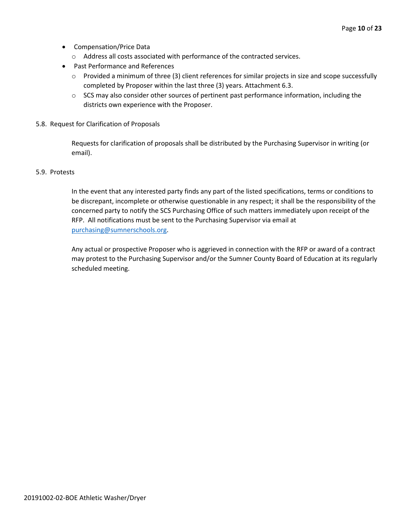- Compensation/Price Data
	- o Address all costs associated with performance of the contracted services.
- Past Performance and References
	- o Provided a minimum of three (3) client references for similar projects in size and scope successfully completed by Proposer within the last three (3) years. Attachment 6.3.
	- $\circ$  SCS may also consider other sources of pertinent past performance information, including the districts own experience with the Proposer.
- 5.8. Request for Clarification of Proposals

Requests for clarification of proposals shall be distributed by the Purchasing Supervisor in writing (or email).

#### 5.9. Protests

In the event that any interested party finds any part of the listed specifications, terms or conditions to be discrepant, incomplete or otherwise questionable in any respect; it shall be the responsibility of the concerned party to notify the SCS Purchasing Office of such matters immediately upon receipt of the RFP. All notifications must be sent to the Purchasing Supervisor via email at [purchasing@sumnerschools.org.](mailto:purchasing@sumnerschools.org)

Any actual or prospective Proposer who is aggrieved in connection with the RFP or award of a contract may protest to the Purchasing Supervisor and/or the Sumner County Board of Education at its regularly scheduled meeting.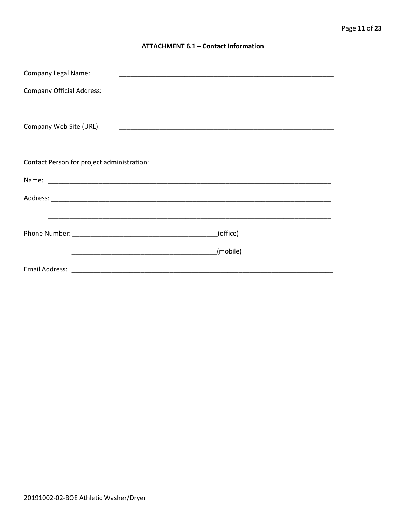#### **ATTACHMENT 6.1 - Contact Information**

| <b>Company Legal Name:</b>                 |          |
|--------------------------------------------|----------|
| <b>Company Official Address:</b>           |          |
|                                            |          |
| Company Web Site (URL):                    |          |
|                                            |          |
| Contact Person for project administration: |          |
|                                            |          |
|                                            |          |
|                                            |          |
|                                            | (office) |
|                                            | (mobile) |
|                                            |          |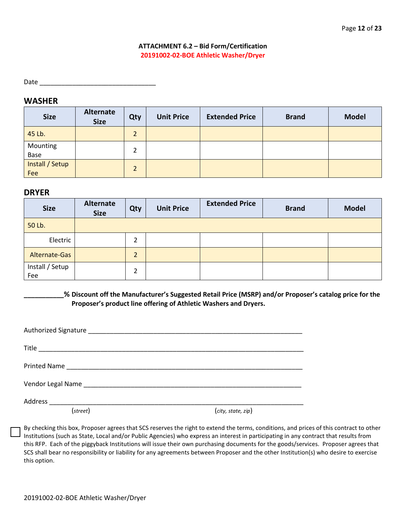### **ATTACHMENT 6.2 – Bid Form/Certification 20191002-02-BOE Athletic Washer/Dryer**

Date

# **WASHER**

| <b>Size</b>            | Alternate<br><b>Size</b> | Qty            | <b>Unit Price</b> | <b>Extended Price</b> | <b>Brand</b> | <b>Model</b> |
|------------------------|--------------------------|----------------|-------------------|-----------------------|--------------|--------------|
| 45 Lb.                 |                          | $\overline{2}$ |                   |                       |              |              |
| Mounting<br>Base       |                          | 2              |                   |                       |              |              |
| Install / Setup<br>Fee |                          | $\overline{2}$ |                   |                       |              |              |

## **DRYER**

| <b>Size</b>            | Alternate<br><b>Size</b> | Qty            | <b>Unit Price</b> | <b>Extended Price</b> | <b>Brand</b> | <b>Model</b> |
|------------------------|--------------------------|----------------|-------------------|-----------------------|--------------|--------------|
| 50 Lb.                 |                          |                |                   |                       |              |              |
| Electric               |                          | $\overline{2}$ |                   |                       |              |              |
| Alternate-Gas          |                          | $\overline{2}$ |                   |                       |              |              |
| Install / Setup<br>Fee |                          | $\overline{2}$ |                   |                       |              |              |

**\_\_\_\_\_\_\_\_\_\_\_% Discount off the Manufacturer's Suggested Retail Price (MSRP) and/or Proposer's catalog price for the Proposer's product line offering of Athletic Washers and Dryers.**

| (street) | (city, state, zip) |  |
|----------|--------------------|--|

By checking this box, Proposer agrees that SCS reserves the right to extend the terms, conditions, and prices of this contract to other Institutions (such as State, Local and/or Public Agencies) who express an interest in participating in any contract that results from this RFP. Each of the piggyback Institutions will issue their own purchasing documents for the goods/services. Proposer agrees that SCS shall bear no responsibility or liability for any agreements between Proposer and the other Institution(s) who desire to exercise this option.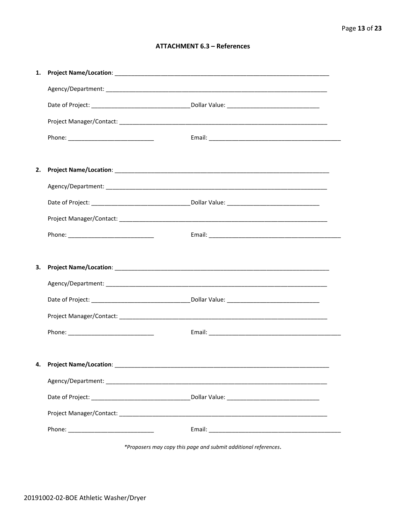#### **ATTACHMENT 6.3 - References**

| 4. Project Name/Location: _________ |  |
|-------------------------------------|--|
|                                     |  |
|                                     |  |
|                                     |  |
|                                     |  |

\*Proposers may copy this page and submit additional references.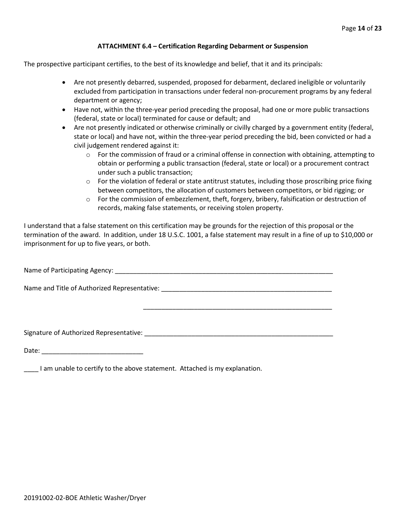#### **ATTACHMENT 6.4 – Certification Regarding Debarment or Suspension**

The prospective participant certifies, to the best of its knowledge and belief, that it and its principals:

- Are not presently debarred, suspended, proposed for debarment, declared ineligible or voluntarily excluded from participation in transactions under federal non-procurement programs by any federal department or agency;
- Have not, within the three-year period preceding the proposal, had one or more public transactions (federal, state or local) terminated for cause or default; and
- Are not presently indicated or otherwise criminally or civilly charged by a government entity (federal, state or local) and have not, within the three-year period preceding the bid, been convicted or had a civil judgement rendered against it:
	- $\circ$  For the commission of fraud or a criminal offense in connection with obtaining, attempting to obtain or performing a public transaction (federal, state or local) or a procurement contract under such a public transaction;
	- $\circ$  For the violation of federal or state antitrust statutes, including those proscribing price fixing between competitors, the allocation of customers between competitors, or bid rigging; or
	- o For the commission of embezzlement, theft, forgery, bribery, falsification or destruction of records, making false statements, or receiving stolen property.

\_\_\_\_\_\_\_\_\_\_\_\_\_\_\_\_\_\_\_\_\_\_\_\_\_\_\_\_\_\_\_\_\_\_\_\_\_\_\_\_\_\_\_\_\_\_\_\_\_\_\_\_

I understand that a false statement on this certification may be grounds for the rejection of this proposal or the termination of the award. In addition, under 18 U.S.C. 1001, a false statement may result in a fine of up to \$10,000 or imprisonment for up to five years, or both.

Name of Participating Agency: \_\_\_\_\_\_\_\_\_\_\_\_\_\_\_\_\_\_\_\_\_\_\_\_\_\_\_\_\_\_\_\_\_\_\_\_\_\_\_\_\_\_\_\_\_\_\_\_\_\_\_\_\_\_\_\_\_\_\_\_

Name and Title of Authorized Representative: \_\_\_\_\_\_\_\_\_\_\_\_\_\_\_\_\_\_\_\_\_\_\_\_\_\_\_\_\_\_\_\_\_\_\_\_\_\_\_\_\_\_\_\_\_\_\_

Signature of Authorized Representative: \_\_\_\_\_\_\_\_\_\_\_\_\_\_\_\_\_\_\_\_\_\_\_\_\_\_\_\_\_\_\_\_\_\_\_\_\_\_\_\_\_\_\_\_\_\_\_\_\_\_\_\_

Date: \_\_\_\_\_\_\_\_\_\_\_\_\_\_\_\_\_\_\_\_\_\_\_\_\_\_\_\_

\_\_\_\_ I am unable to certify to the above statement. Attached is my explanation.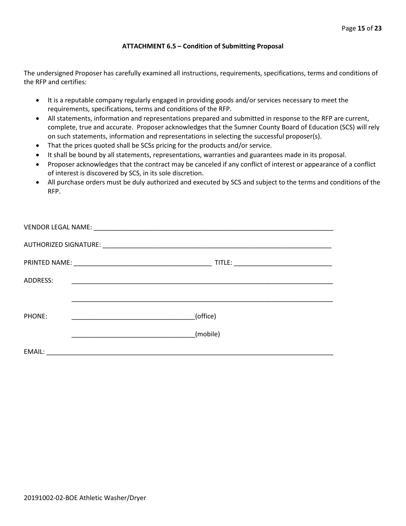#### **ATTACHMENT 6.5 – Condition of Submitting Proposal**

The undersigned Proposer has carefully examined all instructions, requirements, specifications, terms and conditions of the RFP and certifies:

- It is a reputable company regularly engaged in providing goods and/or services necessary to meet the requirements, specifications, terms and conditions of the RFP.
- All statements, information and representations prepared and submitted in response to the RFP are current, complete, true and accurate. Proposer acknowledges that the Sumner County Board of Education (SCS) will rely on such statements, information and representations in selecting the successful proposer(s).
- That the prices quoted shall be SCSs pricing for the products and/or service.
- It shall be bound by all statements, representations, warranties and guarantees made in its proposal.
- Proposer acknowledges that the contract may be canceled if any conflict of interest or appearance of a conflict of interest is discovered by SCS, in its sole discretion.
- All purchase orders must be duly authorized and executed by SCS and subject to the terms and conditions of the RFP.

| <b>ADDRESS:</b> |          |
|-----------------|----------|
|                 |          |
| PHONE:          | (office) |
|                 | (mobile) |
| EMAIL:          |          |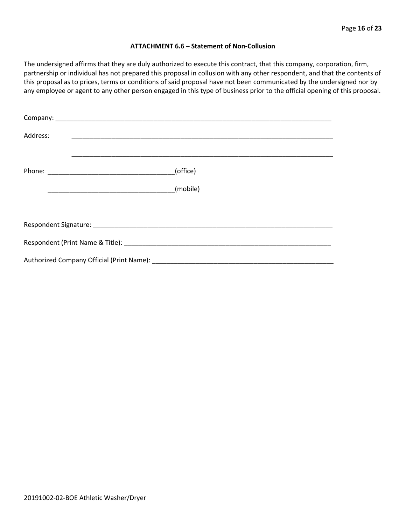#### **ATTACHMENT 6.6 – Statement of Non-Collusion**

The undersigned affirms that they are duly authorized to execute this contract, that this company, corporation, firm, partnership or individual has not prepared this proposal in collusion with any other respondent, and that the contents of this proposal as to prices, terms or conditions of said proposal have not been communicated by the undersigned nor by any employee or agent to any other person engaged in this type of business prior to the official opening of this proposal.

| Address: |          |  |  |  |
|----------|----------|--|--|--|
|          | (office) |  |  |  |
|          | (mobile) |  |  |  |
|          |          |  |  |  |
|          |          |  |  |  |
|          |          |  |  |  |
|          |          |  |  |  |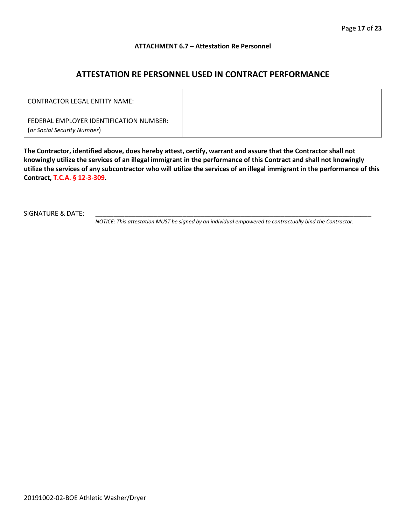#### **ATTACHMENT 6.7 – Attestation Re Personnel**

# **ATTESTATION RE PERSONNEL USED IN CONTRACT PERFORMANCE**

| CONTRACTOR LEGAL ENTITY NAME:                                          |  |
|------------------------------------------------------------------------|--|
| FEDERAL EMPLOYER IDENTIFICATION NUMBER:<br>(or Social Security Number) |  |

**The Contractor, identified above, does hereby attest, certify, warrant and assure that the Contractor shall not knowingly utilize the services of an illegal immigrant in the performance of this Contract and shall not knowingly utilize the services of any subcontractor who will utilize the services of an illegal immigrant in the performance of this Contract, T.C.A. § 12-3-309.**

SIGNATURE & DATE:

*NOTICE: This attestation MUST be signed by an individual empowered to contractually bind the Contractor.*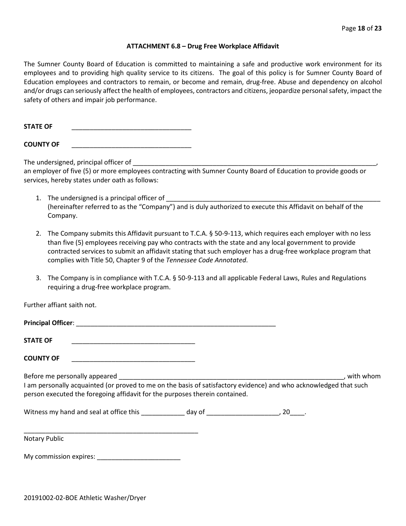#### **ATTACHMENT 6.8 – Drug Free Workplace Affidavit**

The Sumner County Board of Education is committed to maintaining a safe and productive work environment for its employees and to providing high quality service to its citizens. The goal of this policy is for Sumner County Board of Education employees and contractors to remain, or become and remain, drug-free. Abuse and dependency on alcohol and/or drugs can seriously affect the health of employees, contractors and citizens, jeopardize personal safety, impact the safety of others and impair job performance.

**STATE OF** \_\_\_\_\_\_\_\_\_\_\_\_\_\_\_\_\_\_\_\_\_\_\_\_\_\_\_\_\_\_\_\_\_

**COUNTY OF** \_\_\_\_\_\_\_\_\_\_\_\_\_\_\_\_\_\_\_\_\_\_\_\_\_\_\_\_\_\_\_\_\_

The undersigned, principal officer of

an employer of five (5) or more employees contracting with Sumner County Board of Education to provide goods or services, hereby states under oath as follows:

- 1. The undersigned is a principal officer of (hereinafter referred to as the "Company") and is duly authorized to execute this Affidavit on behalf of the Company.
- 2. The Company submits this Affidavit pursuant to T.C.A. § 50-9-113, which requires each employer with no less than five (5) employees receiving pay who contracts with the state and any local government to provide contracted services to submit an affidavit stating that such employer has a drug-free workplace program that complies with Title 50, Chapter 9 of the *Tennessee Code Annotated*.
- 3. The Company is in compliance with T.C.A. § 50-9-113 and all applicable Federal Laws, Rules and Regulations requiring a drug-free workplace program.

Further affiant saith not.

| <b>STATE OF</b>                                                                                                                                                                                  |  |           |
|--------------------------------------------------------------------------------------------------------------------------------------------------------------------------------------------------|--|-----------|
| <b>COUNTY OF</b>                                                                                                                                                                                 |  |           |
| I am personally acquainted (or proved to me on the basis of satisfactory evidence) and who acknowledged that such<br>person executed the foregoing affidavit for the purposes therein contained. |  | with whom |
|                                                                                                                                                                                                  |  |           |
| <b>Notary Public</b>                                                                                                                                                                             |  |           |

My commission expires: \_\_\_\_\_\_\_\_\_\_\_\_\_\_\_\_\_\_\_\_\_\_\_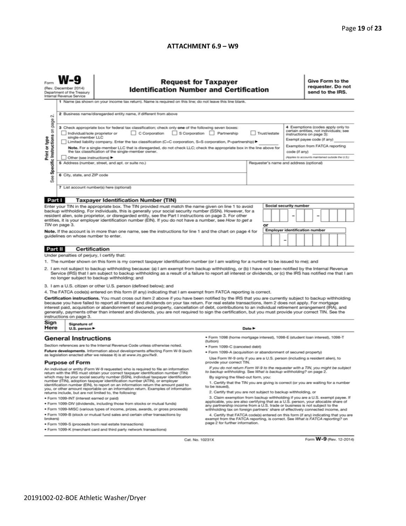#### **ATTACHMENT 6.9 – W9**

| N                                                                                                                                                                                                                                                                                                                                                                                                                                                                                                                                                                                                                                                                                                                                                                                                                                                                                                                                                                                                                                                                                                                                                                                                                                                                                                                                                              | (Rev. December 2014)<br>Department of the Treasury<br>Internal Revenue Service | <b>Request for Taxpayer</b><br><b>Identification Number and Certification</b><br>1 Name (as shown on your income tax return). Name is required on this line; do not leave this line blank.<br>2 Business name/disregarded entity name, if different from above                                                                                                                                                                                                                                                                                                                                                                                                                                                                                                                                       |                                                                                                                                                          |  |  |                                                                                                                                                                                                                              |  |  | Give Form to the<br>requester. Do not<br>send to the IRS. |  |  |  |  |
|----------------------------------------------------------------------------------------------------------------------------------------------------------------------------------------------------------------------------------------------------------------------------------------------------------------------------------------------------------------------------------------------------------------------------------------------------------------------------------------------------------------------------------------------------------------------------------------------------------------------------------------------------------------------------------------------------------------------------------------------------------------------------------------------------------------------------------------------------------------------------------------------------------------------------------------------------------------------------------------------------------------------------------------------------------------------------------------------------------------------------------------------------------------------------------------------------------------------------------------------------------------------------------------------------------------------------------------------------------------|--------------------------------------------------------------------------------|------------------------------------------------------------------------------------------------------------------------------------------------------------------------------------------------------------------------------------------------------------------------------------------------------------------------------------------------------------------------------------------------------------------------------------------------------------------------------------------------------------------------------------------------------------------------------------------------------------------------------------------------------------------------------------------------------------------------------------------------------------------------------------------------------|----------------------------------------------------------------------------------------------------------------------------------------------------------|--|--|------------------------------------------------------------------------------------------------------------------------------------------------------------------------------------------------------------------------------|--|--|-----------------------------------------------------------|--|--|--|--|
| Specific Instructions on page<br>3 Check appropriate box for federal tax classification; check only one of the following seven boxes:<br>C Corporation<br>S Corporation Partnership<br>Trust/estate<br>Individual/sole proprietor or<br>single-member LLC<br>Print or type<br>Limited liability company. Enter the tax classification (C=C corporation, S=S corporation, P=partnership) ▶<br>Note. For a single-member LLC that is disregarded, do not check LLC; check the appropriate box in the line above for<br>the tax classification of the single-member owner.<br>code (if any)<br>Other (see instructions) ▶<br>5 Address (number, street, and apt. or suite no.)<br>Requester's name and address (optional)<br>6 City, state, and ZIP code<br>See<br>7 List account number(s) here (optional)                                                                                                                                                                                                                                                                                                                                                                                                                                                                                                                                                       |                                                                                |                                                                                                                                                                                                                                                                                                                                                                                                                                                                                                                                                                                                                                                                                                                                                                                                      |                                                                                                                                                          |  |  | 4 Exemptions (codes apply only to<br>certain entities, not individuals; see<br>instructions on page 3):<br>Exempt payee code (if any)<br>Exemption from FATCA reporting<br>(Applies to accounts maintained outside the U.S.) |  |  |                                                           |  |  |  |  |
|                                                                                                                                                                                                                                                                                                                                                                                                                                                                                                                                                                                                                                                                                                                                                                                                                                                                                                                                                                                                                                                                                                                                                                                                                                                                                                                                                                |                                                                                |                                                                                                                                                                                                                                                                                                                                                                                                                                                                                                                                                                                                                                                                                                                                                                                                      |                                                                                                                                                          |  |  |                                                                                                                                                                                                                              |  |  |                                                           |  |  |  |  |
| Part I<br><b>Taxpayer Identification Number (TIN)</b><br>Social security number<br>Enter your TIN in the appropriate box. The TIN provided must match the name given on line 1 to avoid<br>backup withholding. For individuals, this is generally your social security number (SSN). However, for a<br>resident alien, sole proprietor, or disregarded entity, see the Part I instructions on page 3. For other<br>-<br>entities, it is your employer identification number (EIN). If you do not have a number, see How to get a<br>TIN on page 3.<br>or<br><b>Employer identification number</b><br>Note. If the account is in more than one name, see the instructions for line 1 and the chart on page 4 for<br>guidelines on whose number to enter.<br>-                                                                                                                                                                                                                                                                                                                                                                                                                                                                                                                                                                                                   |                                                                                |                                                                                                                                                                                                                                                                                                                                                                                                                                                                                                                                                                                                                                                                                                                                                                                                      |                                                                                                                                                          |  |  |                                                                                                                                                                                                                              |  |  |                                                           |  |  |  |  |
|                                                                                                                                                                                                                                                                                                                                                                                                                                                                                                                                                                                                                                                                                                                                                                                                                                                                                                                                                                                                                                                                                                                                                                                                                                                                                                                                                                |                                                                                |                                                                                                                                                                                                                                                                                                                                                                                                                                                                                                                                                                                                                                                                                                                                                                                                      |                                                                                                                                                          |  |  |                                                                                                                                                                                                                              |  |  |                                                           |  |  |  |  |
| Part II                                                                                                                                                                                                                                                                                                                                                                                                                                                                                                                                                                                                                                                                                                                                                                                                                                                                                                                                                                                                                                                                                                                                                                                                                                                                                                                                                        | <b>Certification</b><br>Under penalties of perjury, I certify that:            |                                                                                                                                                                                                                                                                                                                                                                                                                                                                                                                                                                                                                                                                                                                                                                                                      |                                                                                                                                                          |  |  |                                                                                                                                                                                                                              |  |  |                                                           |  |  |  |  |
| 1. The number shown on this form is my correct taxpayer identification number (or I am waiting for a number to be issued to me); and<br>2. I am not subject to backup withholding because: (a) I am exempt from backup withholding, or (b) I have not been notified by the Internal Revenue<br>Service (IRS) that I am subject to backup withholding as a result of a failure to report all interest or dividends, or (c) the IRS has notified me that I am<br>no longer subject to backup withholding; and<br>3. I am a U.S. citizen or other U.S. person (defined below); and<br>4. The FATCA code(s) entered on this form (if any) indicating that I am exempt from FATCA reporting is correct.<br>Certification instructions. You must cross out item 2 above if you have been notified by the IRS that you are currently subject to backup withholding<br>because you have failed to report all interest and dividends on your tax return. For real estate transactions, item 2 does not apply. For mortgage<br>interest paid, acquisition or abandonment of secured property, cancellation of debt, contributions to an individual retirement arrangement (IRA), and<br>generally, payments other than interest and dividends, you are not required to sign the certification, but you must provide your correct TIN. See the<br>instructions on page 3. |                                                                                |                                                                                                                                                                                                                                                                                                                                                                                                                                                                                                                                                                                                                                                                                                                                                                                                      |                                                                                                                                                          |  |  |                                                                                                                                                                                                                              |  |  |                                                           |  |  |  |  |
| Sign                                                                                                                                                                                                                                                                                                                                                                                                                                                                                                                                                                                                                                                                                                                                                                                                                                                                                                                                                                                                                                                                                                                                                                                                                                                                                                                                                           | Signature of                                                                   |                                                                                                                                                                                                                                                                                                                                                                                                                                                                                                                                                                                                                                                                                                                                                                                                      |                                                                                                                                                          |  |  |                                                                                                                                                                                                                              |  |  |                                                           |  |  |  |  |
| Here<br>U.S. person ▶<br><b>General Instructions</b><br>Section references are to the Internal Revenue Code unless otherwise noted.                                                                                                                                                                                                                                                                                                                                                                                                                                                                                                                                                                                                                                                                                                                                                                                                                                                                                                                                                                                                                                                                                                                                                                                                                            |                                                                                |                                                                                                                                                                                                                                                                                                                                                                                                                                                                                                                                                                                                                                                                                                                                                                                                      | Date $\blacktriangleright$<br>· Form 1098 (home mortgage interest), 1098-E (student loan interest), 1098-T<br>(tuition)<br>· Form 1099-C (canceled debt) |  |  |                                                                                                                                                                                                                              |  |  |                                                           |  |  |  |  |
| Future developments. Information about developments affecting Form W-9 (such<br>as legislation enacted after we release it) is at www.irs.gov/fw9.<br><b>Purpose of Form</b>                                                                                                                                                                                                                                                                                                                                                                                                                                                                                                                                                                                                                                                                                                                                                                                                                                                                                                                                                                                                                                                                                                                                                                                   |                                                                                | . Form 1099-A (acquisition or abandonment of secured property)<br>Use Form W-9 only if you are a U.S. person (including a resident alien), to<br>provide your correct TIN.                                                                                                                                                                                                                                                                                                                                                                                                                                                                                                                                                                                                                           |                                                                                                                                                          |  |  |                                                                                                                                                                                                                              |  |  |                                                           |  |  |  |  |
| An individual or entity (Form W-9 requester) who is required to file an information<br>return with the IRS must obtain your correct taxpayer identification number (TIN)<br>which may be your social security number (SSN), individual taxpayer identification<br>number (ITIN), adoption taxpayer identification number (ATIN), or employer<br>identification number (EIN), to report on an information return the amount paid to<br>you, or other amount reportable on an information return. Examples of information<br>returns include, but are not limited to, the following:<br>· Form 1099-INT (interest earned or paid)<br>. Form 1099-DIV (dividends, including those from stocks or mutual funds)<br>* Form 1099-MISC (various types of income, prizes, awards, or gross proceeds)<br>. Form 1099-B (stock or mutual fund sales and certain other transactions by                                                                                                                                                                                                                                                                                                                                                                                                                                                                                    |                                                                                | If you do not return Form W-9 to the requester with a TIN, you might be subject<br>to backup withholding. See What is backup withholding? on page 2.<br>By signing the filled-out form, you:<br>1. Certify that the TIN you are giving is correct (or you are waiting for a number<br>to be issued).<br>2. Certify that you are not subject to backup withholding, or<br>3. Claim exemption from backup withholding if you are a U.S. exempt payee. If<br>applicable, you are also certifying that as a U.S. person, your allocable share of<br>any partnership income from a U.S. trade or business is not subject to the<br>withholding tax on foreign partners' share of effectively connected income, and<br>4. Certify that FATCA code(s) entered on this form (if any) indicating that you are |                                                                                                                                                          |  |  |                                                                                                                                                                                                                              |  |  |                                                           |  |  |  |  |
| brokers)<br>exempt from the FATCA reporting, is correct. See What is FATCA reporting? on<br>page 2 for further information.<br>· Form 1099-S (proceeds from real estate transactions)<br>. Form 1099-K (merchant card and third party network transactions)                                                                                                                                                                                                                                                                                                                                                                                                                                                                                                                                                                                                                                                                                                                                                                                                                                                                                                                                                                                                                                                                                                    |                                                                                |                                                                                                                                                                                                                                                                                                                                                                                                                                                                                                                                                                                                                                                                                                                                                                                                      |                                                                                                                                                          |  |  |                                                                                                                                                                                                                              |  |  |                                                           |  |  |  |  |

Cat. No. 10231X

Form W-9 (Rev. 12-2014)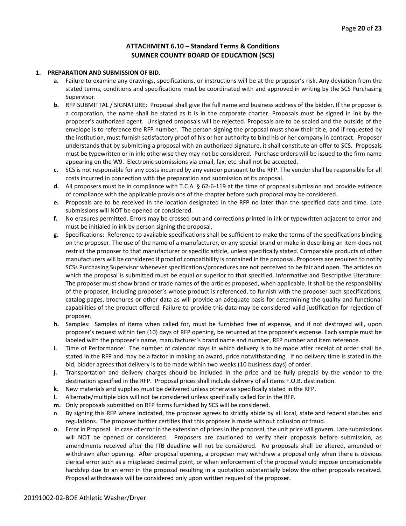### **ATTACHMENT 6.10 – Standard Terms & Conditions SUMNER COUNTY BOARD OF EDUCATION (SCS)**

#### **1. PREPARATION AND SUBMISSION OF BID.**

- **a.** Failure to examine any drawings**,** specifications, or instructions will be at the proposer's risk. Any deviation from the stated terms, conditions and specifications must be coordinated with and approved in writing by the SCS Purchasing Supervisor.
- **b.** RFP SUBMITTAL / SIGNATURE: Proposal shall give the full name and business address of the bidder. If the proposer is a corporation, the name shall be stated as it is in the corporate charter. Proposals must be signed in ink by the proposer's authorized agent. Unsigned proposals will be rejected. Proposals are to be sealed and the outside of the envelope is to reference the RFP number. The person signing the proposal must show their title, and if requested by the institution, must furnish satisfactory proof of his or her authority to bind his or her company in contract. Proposer understands that by submitting a proposal with an authorized signature, it shall constitute an offer to SCS. Proposals must be typewritten or in ink; otherwise they may not be considered. Purchase orders will be issued to the firm name appearing on the W9. Electronic submissions via email, fax, etc. shall not be accepted.
- **c.** SCS is not responsible for any costs incurred by any vendor pursuant to the RFP. The vendor shall be responsible for all costs incurred in connection with the preparation and submission of its proposal.
- **d.** All proposers must be in compliance with T.C.A. § 62-6-119 at the time of proposal submission and provide evidence of compliance with the applicable provisions of the chapter before such proposal may be considered.
- **e.** Proposals are to be received in the location designated in the RFP no later than the specified date and time. Late submissions will NOT be opened or considered.
- **f.** No erasures permitted. Errors may be crossed out and corrections printed in ink or typewritten adjacent to error and must be initialed in ink by person signing the proposal.
- **g.** Specifications: Reference to available specifications shall be sufficient to make the terms of the specifications binding on the proposer. The use of the name of a manufacturer, or any special brand or make in describing an item does not restrict the proposer to that manufacturer or specific article, unless specifically stated. Comparable products of other manufacturers will be considered if proof of compatibility is contained in the proposal. Proposers are required to notify SCSs Purchasing Supervisor whenever specifications/procedures are not perceived to be fair and open. The articles on which the proposal is submitted must be equal or superior to that specified. Informative and Descriptive Literature: The proposer must show brand or trade names of the articles proposed, when applicable. It shall be the responsibility of the proposer, including proposer's whose product is referenced, to furnish with the proposer such specifications, catalog pages, brochures or other data as will provide an adequate basis for determining the quality and functional capabilities of the product offered. Failure to provide this data may be considered valid justification for rejection of proposer.
- **h.** Samples: Samples of items when called for, must be furnished free of expense, and if not destroyed will, upon proposer's request within ten (10) days of RFP opening, be returned at the proposer's expense. Each sample must be labeled with the proposer's name, manufacturer's brand name and number, RFP number and item reference.
- **i.** Time of Performance: The number of calendar days in which delivery is to be made after receipt of order shall be stated in the RFP and may be a factor in making an award, price notwithstanding. If no delivery time is stated in the bid, bidder agrees that delivery is to be made within two weeks (10 business days) of order.
- **j.** Transportation and delivery charges should be included in the price and be fully prepaid by the vendor to the destination specified in the RFP. Proposal prices shall include delivery of all items F.O.B. destination.
- **k.** New materials and supplies must be delivered unless otherwise specifically stated in the RFP.
- **l.** Alternate/multiple bids will not be considered unless specifically called for in the RFP.
- **m.** Only proposals submitted on RFP forms furnished by SCS will be considered.
- n. By signing this RFP where indicated, the proposer agrees to strictly abide by all local, state and federal statutes and regulations. The proposer further certifies that this proposer is made without collusion or fraud.
- **o.** Error in Proposal. In case of error in the extension of prices in the proposal, the unit price will govern. Late submissions will NOT be opened or considered. Proposers are cautioned to verify their proposals before submission, as amendments received after the ITB deadline will not be considered. No proposals shall be altered, amended or withdrawn after opening. After proposal opening, a proposer may withdraw a proposal only when there is obvious clerical error such as a misplaced decimal point, or when enforcement of the proposal would impose unconscionable hardship due to an error in the proposal resulting in a quotation substantially below the other proposals received. Proposal withdrawals will be considered only upon written request of the proposer.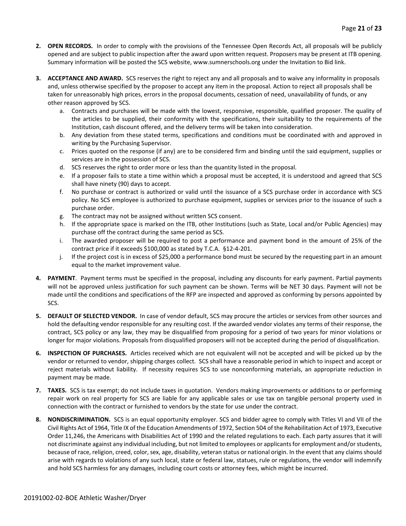- **2. OPEN RECORDS.** In order to comply with the provisions of the Tennessee Open Records Act, all proposals will be publicly opened and are subject to public inspection after the award upon written request. Proposers may be present at ITB opening. Summary information will be posted the SCS website, www.sumnerschools.org under the Invitation to Bid link.
- **3. ACCEPTANCE AND AWARD.** SCS reserves the right to reject any and all proposals and to waive any informality in proposals and, unless otherwise specified by the proposer to accept any item in the proposal. Action to reject all proposals shall be taken for unreasonably high prices, errors in the proposal documents, cessation of need, unavailability of funds, or any other reason approved by SCS.
	- a. Contracts and purchases will be made with the lowest, responsive, responsible, qualified proposer. The quality of the articles to be supplied, their conformity with the specifications, their suitability to the requirements of the Institution, cash discount offered, and the delivery terms will be taken into consideration.
	- b. Any deviation from these stated terms, specifications and conditions must be coordinated with and approved in writing by the Purchasing Supervisor.
	- c. Prices quoted on the response (if any) are to be considered firm and binding until the said equipment, supplies or services are in the possession of SCS.
	- d. SCS reserves the right to order more or less than the quantity listed in the proposal.
	- e. If a proposer fails to state a time within which a proposal must be accepted, it is understood and agreed that SCS shall have ninety (90) days to accept.
	- f. No purchase or contract is authorized or valid until the issuance of a SCS purchase order in accordance with SCS policy. No SCS employee is authorized to purchase equipment, supplies or services prior to the issuance of such a purchase order.
	- g. The contract may not be assigned without written SCS consent.
	- h. If the appropriate space is marked on the ITB, other Institutions (such as State, Local and/or Public Agencies) may purchase off the contract during the same period as SCS.
	- i. The awarded proposer will be required to post a performance and payment bond in the amount of 25% of the contract price if it exceeds \$100,000 as stated by T.C.A. §12-4-201.
	- j. If the project cost is in excess of \$25,000 a performance bond must be secured by the requesting part in an amount equal to the market improvement value.
- **4. PAYMENT**. Payment terms must be specified in the proposal, including any discounts for early payment. Partial payments will not be approved unless justification for such payment can be shown. Terms will be NET 30 days. Payment will not be made until the conditions and specifications of the RFP are inspected and approved as conforming by persons appointed by SCS.
- **5. DEFAULT OF SELECTED VENDOR.** In case of vendor default, SCS may procure the articles or services from other sources and hold the defaulting vendor responsible for any resulting cost. If the awarded vendor violates any terms of their response, the contract, SCS policy or any law, they may be disqualified from proposing for a period of two years for minor violations or longer for major violations. Proposals from disqualified proposers will not be accepted during the period of disqualification.
- **6. INSPECTION OF PURCHASES.** Articles received which are not equivalent will not be accepted and will be picked up by the vendor or returned to vendor, shipping charges collect. SCS shall have a reasonable period in which to inspect and accept or reject materials without liability. If necessity requires SCS to use nonconforming materials, an appropriate reduction in payment may be made.
- **7. TAXES.** SCS is tax exempt; do not include taxes in quotation. Vendors making improvements or additions to or performing repair work on real property for SCS are liable for any applicable sales or use tax on tangible personal property used in connection with the contract or furnished to vendors by the state for use under the contract.
- **8. NONDISCRIMINATION.** SCS is an equal opportunity employer. SCS and bidder agree to comply with Titles VI and VII of the Civil Rights Act of 1964, Title IX of the Education Amendments of 1972, Section 504 of the Rehabilitation Act of 1973, Executive Order 11,246, the Americans with Disabilities Act of 1990 and the related regulations to each. Each party assures that it will not discriminate against any individual including, but not limited to employees or applicants for employment and/or students, because of race, religion, creed, color, sex, age, disability, veteran status or national origin. In the event that any claims should arise with regards to violations of any such local, state or federal law, statues, rule or regulations, the vendor will indemnify and hold SCS harmless for any damages, including court costs or attorney fees, which might be incurred.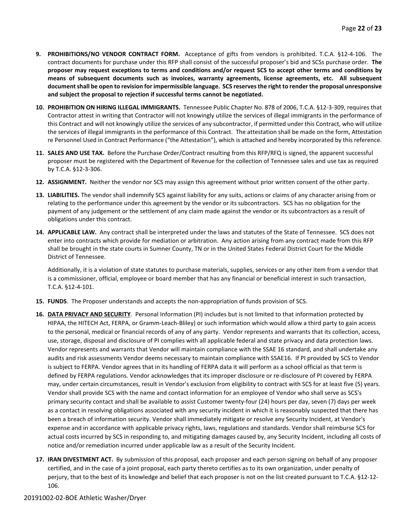- **9. PROHIBITIONS/NO VENDOR CONTRACT FORM.** Acceptance of gifts from vendors is prohibited. T.C.A. §12-4-106. The contract documents for purchase under this RFP shall consist of the successful proposer's bid and SCSs purchase order. **The proposer may request exceptions to terms and conditions and/or request SCS to accept other terms and conditions by means of subsequent documents such as invoices, warranty agreements, license agreements, etc. All subsequent document shall be open to revision for impermissible language. SCS reserves the right to render the proposal unresponsive and subject the proposal to rejection if successful terms cannot be negotiated.**
- **10. PROHIBITION ON HIRING ILLEGAL IMMIGRANTS.** Tennessee Public Chapter No. 878 of 2006, T.C.A. §12-3-309, requires that Contractor attest in writing that Contractor will not knowingly utilize the services of illegal immigrants in the performance of this Contract and will not knowingly utilize the services of any subcontractor, if permitted under this Contract, who will utilize the services of illegal immigrants in the performance of this Contract. The attestation shall be made on the form, Attestation re Personnel Used in Contract Performance ("the Attestation"), which is attached and hereby incorporated by this reference.
- **11. SALES AND USE TAX.** Before the Purchase Order/Contract resulting from this RFP/RFQ is signed, the apparent successful proposer must be registered with the Department of Revenue for the collection of Tennessee sales and use tax as required by T.C.A. §12-3-306.
- **12. ASSIGNMENT.** Neither the vendor nor SCS may assign this agreement without prior written consent of the other party.
- **13. LIABILITIES.** The vendor shall indemnify SCS against liability for any suits, actions or claims of any character arising from or relating to the performance under this agreement by the vendor or its subcontractors. SCS has no obligation for the payment of any judgement or the settlement of any claim made against the vendor or its subcontractors as a result of obligations under this contract.
- **14. APPLICABLE LAW.** Any contract shall be interpreted under the laws and statutes of the State of Tennessee. SCS does not enter into contracts which provide for mediation or arbitration. Any action arising from any contract made from this RFP shall be brought in the state courts in Sumner County, TN or in the United States Federal District Court for the Middle District of Tennessee.

Additionally, it is a violation of state statutes to purchase materials, supplies, services or any other item from a vendor that is a commissioner, official, employee or board member that has any financial or beneficial interest in such transaction, T.C.A. §12-4-101.

- **15. FUNDS**. The Proposer understands and accepts the non-appropriation of funds provision of SCS.
- **16. DATA PRIVACY AND SECURITY**. Personal Information (PI) includes but is not limited to that information protected by HIPAA, the HITECH Act, FERPA, or Gramm-Leach-Bliley) or such information which would allow a third party to gain access to the personal, medical or financial records of any of any party. Vendor represents and warrants that its collection, access, use, storage, disposal and disclosure of PI complies with all applicable federal and state privacy and data protection laws. Vendor represents and warrants that Vendor will maintain compliance with the SSAE 16 standard, and shall undertake any audits and risk assessments Vendor deems necessary to maintain compliance with SSAE16. If PI provided by SCS to Vendor is subject to FERPA. Vendor agrees that in its handling of FERPA data it will perform as a school official as that term is defined by FERPA regulations. Vendor acknowledges that its improper disclosure or re-disclosure of PI covered by FERPA may, under certain circumstances, result in Vendor's exclusion from eligibility to contract with SCS for at least five (5) years. Vendor shall provide SCS with the name and contact information for an employee of Vendor who shall serve as SCS's primary security contact and shall be available to assist Customer twenty-four (24) hours per day, seven (7) days per week as a contact in resolving obligations associated with any security incident in which it is reasonably suspected that there has been a breach of information security. Vendor shall immediately mitigate or resolve any Security Incident, at Vendor's expense and in accordance with applicable privacy rights, laws, regulations and standards. Vendor shall reimburse SCS for actual costs incurred by SCS in responding to, and mitigating damages caused by, any Security Incident, including all costs of notice and/or remediation incurred under applicable law as a result of the Security Incident.
- **17. IRAN DIVESTMENT ACT.** By submission of this proposal, each proposer and each person signing on behalf of any proposer certified, and in the case of a joint proposal, each party thereto certifies as to its own organization, under penalty of perjury, that to the best of its knowledge and belief that each proposer is not on the list created pursuant to T.C.A. §12-12- 106.